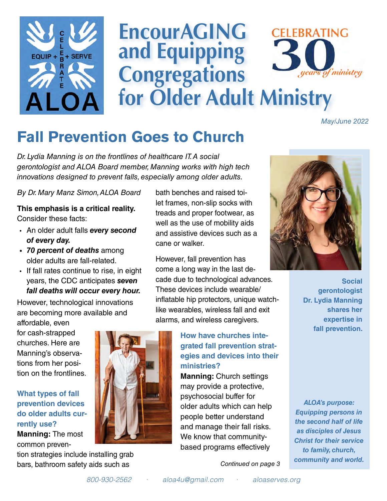

# **EncourAGING CELEBRATING and Equipping Congregations**  of ministry **for Older Adult Ministry**

*May/June 2022*

# **Fall Prevention Goes to Church**

*Dr. Lydia Manning is on the frontlines of healthcare IT. A social gerontologist and ALOA Board member, Manning works with high tech innovations designed to prevent falls, especially among older adults.* 

*By Dr. Mary Manz Simon, ALOA Board*

**This emphasis is a critical reality.**  Consider these facts:

- An older adult falls *every second of every day.*
- *• 70 percent of deaths* among older adults are fall-related.
- If fall rates continue to rise, in eight years, the CDC anticipates *seven fall deaths will occur every hour.*

However, technological innovations are becoming more available and

affordable, even for cash-strapped churches. Here are Manning's observations from her position on the frontlines.

## **What types of fall prevention devices do older adults currently use?**

**Manning:** The most common preven-

tion strategies include installing grab bars, bathroom safety aids such as

bath benches and raised toilet frames, non-slip socks with treads and proper footwear, as well as the use of mobility aids and assistive devices such as a cane or walker.

However, fall prevention has come a long way in the last decade due to technological advances. These devices include wearable/ inflatable hip protectors, unique watchlike wearables, wireless fall and exit alarms, and wireless caregivers.

## **How have churches integrated fall prevention strategies and devices into their ministries?**

**Manning:** Church settings may provide a protective, psychosocial buffer for older adults which can help people better understand and manage their fall risks. We know that communitybased programs effectively

 *[Continued on page 3](#page-3-0)*



 **Social gerontologist Dr. Lydia Manning shares her expertise in fall prevention.**

*ALOA's purpose: Equipping persons in the second half of life as disciples of Jesus Christ for their service to family, church, community and world.*

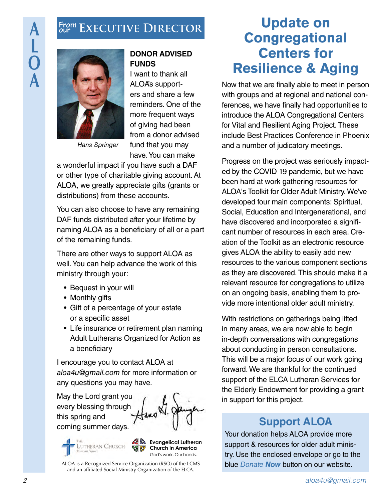# **Executive Director From our**



*Hans Springer*

## **DONOR ADVISED FUNDS**

I want to thank all ALOA's supporters and share a few reminders. One of the more frequent ways of giving had been from a donor advised fund that you may have. You can make

a wonderful impact if you have such a DAF or other type of charitable giving account. At ALOA, we greatly appreciate gifts (grants or distributions) from these accounts.

You can also choose to have any remaining DAF funds distributed after your lifetime by naming ALOA as a beneficiary of all or a part of the remaining funds.

There are other ways to support ALOA as well. You can help advance the work of this ministry through your:

- Bequest in your will
- Monthly gifts
- Gift of a percentage of your estate or a specific asset
- Life insurance or retirement plan naming Adult Lutherans Organized for Action as a beneficiary

I encourage you to contact ALOA at *[aloa4u@gmail.com](mailto:aloa4u%40gmail.com?subject=)* for more information or any questions you may have.

May the Lord grant you every blessing through this spring and coming summer days.





ALOA is a Recognized Service Organization (RSO) of the LCMS and an affiliated Social Ministry Organization of the ELCA.

# **Update on Congregational Centers for Resilience & Aging**

Now that we are finally able to meet in person with groups and at regional and national conferences, we have finally had opportunities to introduce the ALOA Congregational Centers for Vital and Resilient Aging Project. These include Best Practices Conference in Phoenix and a number of judicatory meetings.

Progress on the project was seriously impacted by the COVID 19 pandemic, but we have been hard at work gathering resources for ALOA's Toolkit for Older Adult Ministry. We've developed four main components: Spiritual, Social, Education and Intergenerational, and have discovered and incorporated a significant number of resources in each area. Creation of the Toolkit as an electronic resource gives ALOA the ability to easily add new resources to the various component sections as they are discovered. This should make it a relevant resource for congregations to utilize on an ongoing basis, enabling them to provide more intentional older adult ministry.

With restrictions on gatherings being lifted in many areas, we are now able to begin in-depth conversations with congregations about conducting in person consultations. This will be a major focus of our work going forward. We are thankful for the continued support of the ELCA Lutheran Services for the Elderly Endowment for providing a grant in support for this project.

# **Support ALOA**

Your donation helps ALOA provide more support & resources for older adult ministry. Use the enclosed envelope or go to the blue *[Donate](https://aloaserves.org/donate/) Now* button on our website.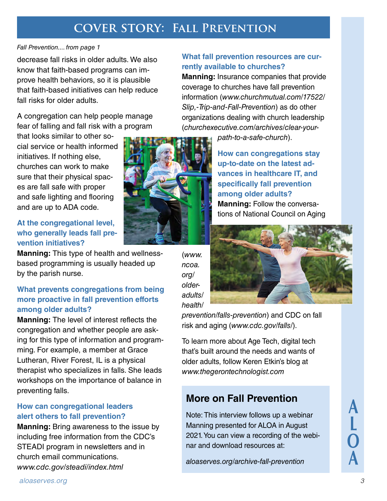# **cover story: Fall Prevention**

#### *Fall Prevention.... from page 1*

decrease fall risks in older adults. We also know that faith-based programs can improve health behaviors, so it is plausible that faith-based initiatives can help reduce fall risks for older adults.

A congregation can help people manage fear of falling and fall risk with a program

that looks similar to other social service or health informed initiatives. If nothing else, churches can work to make sure that their physical spaces are fall safe with proper and safe lighting and flooring and are up to ADA code.

## **At the congregational level, who generally leads fall prevention initiatives?**

**Manning:** This type of health and wellnessbased programming is usually headed up by the parish nurse.

## **What prevents congregations from being more proactive in fall prevention efforts among older adults?**

**Manning:** The level of interest reflects the congregation and whether people are asking for this type of information and programming. For example, a member at Grace Lutheran, River Forest, IL is a physical therapist who specializes in falls. She leads workshops on the importance of balance in preventing falls.

### **How can congregational leaders alert others to fall prevention?**

**Manning:** Bring awareness to the issue by including free information from the CDC's STEADI program in newsletters and in church email communications. *[www.cdc.gov/steadi/index.html](http://www.cdc.gov/steadi/index.html)*

#### **What fall prevention resources are currently available to churches?**

**Manning:** Insurance companies that provide coverage to churches have fall prevention information (*[www.churchmutual.com/17522/](https://www.churchmutual.com/17522/Slip,-Trip-and-Fall-Prevention) [Slip,-Trip-and-Fall-Prevention](https://www.churchmutual.com/17522/Slip,-Trip-and-Fall-Prevention)*) as do other organizations dealing with church leadership (*[churchexecutive.com/archives/clear-your-](https://churchexecutive.com/archives/clear-your-path-to-a-safe-church)*

*[path-to-a-safe-church](https://churchexecutive.com/archives/clear-your-path-to-a-safe-church)*).

**How can congregations stay up-to-date on the latest advances in healthcare IT, and specifically fall prevention among older adults? Manning:** Follow the conversations of National Council on Aging

(*[www.](https://www.ncoa.org/older-adults/health/prevention/falls-prevention) [ncoa.](https://www.ncoa.org/older-adults/health/prevention/falls-prevention) [org/](https://www.ncoa.org/older-adults/health/prevention/falls-prevention) [older](https://www.ncoa.org/older-adults/health/prevention/falls-prevention)[adults/](https://www.ncoa.org/older-adults/health/prevention/falls-prevention) [health/](https://www.ncoa.org/older-adults/health/prevention/falls-prevention)*

*[prevention/falls-prevention](https://www.ncoa.org/older-adults/health/prevention/falls-prevention)*) and CDC on fall risk and aging (*[www.cdc.gov/falls/](https://www.cdc.gov/falls/)*).

To learn more about Age Tech, digital tech that's built around the needs and wants of older adults, follow Keren Etkin's blog at *[www.thegerontechnologist.com](https://www.thegerontechnologist.com)*

# **More on Fall Prevention**

Note: This interview follows up a webinar Manning presented for ALOA in August 2021. You can view a recording of the webinar and download resources at:

*[aloaserves.org/archive-fall-prevention](https://aloaserves.org/archive-fall-prevention)*



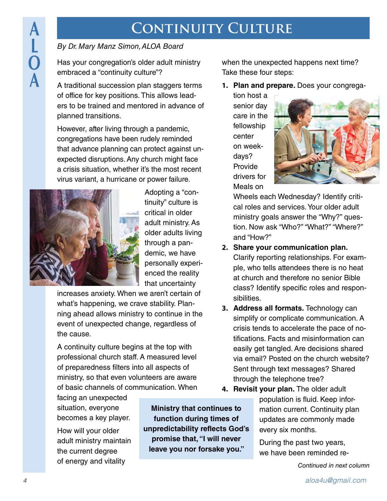# **CONTINUITY CULTURE**

## <span id="page-3-0"></span>*By Dr. Mary Manz Simon, ALOA Board*

Has your congregation's older adult ministry embraced a "continuity culture"?

A traditional succession plan staggers terms of office for key positions. This allows leaders to be trained and mentored in advance of planned transitions.

However, after living through a pandemic, congregations have been rudely reminded that advance planning can protect against unexpected disruptions. Any church might face a crisis situation, whether it's the most recent virus variant, a hurricane or power failure.



Adopting a "continuity" culture is critical in older adult ministry. As older adults living through a pandemic, we have personally experienced the reality that uncertainty

increases anxiety. When we aren't certain of what's happening, we crave stability. Planning ahead allows ministry to continue in the event of unexpected change, regardless of the cause.

A continuity culture begins at the top with professional church staff. A measured level of preparedness filters into all aspects of ministry, so that even volunteers are aware of basic channels of communication. When

facing an unexpected situation, everyone becomes a key player.

How will your older adult ministry maintain the current degree of energy and vitality

**Ministry that continues to function during times of unpredictability reflects God's promise that, "I will never leave you nor forsake you."** 

when the unexpected happens next time? Take these four steps:

**1. Plan and prepare.** Does your congrega-

tion host a senior day care in the fellowship center on weekdays? Provide drivers for Meals on



Wheels each Wednesday? Identify critical roles and services. Your older adult ministry goals answer the "Why?" question. Now ask "Who?" "What?" "Where?" and "How?"

- **2. Share your communication plan.**  Clarify reporting relationships. For example, who tells attendees there is no heat at church and therefore no senior Bible class? Identify specific roles and responsibilities.
- **3. Address all formats.** Technology can simplify or complicate communication. A crisis tends to accelerate the pace of notifications. Facts and misinformation can easily get tangled. Are decisions shared via email? Posted on the church website? Sent through text messages? Shared through the telephone tree?
- **4. Revisit your plan.** The older adult population is fluid. Keep information current. Continuity plan updates are commonly made every six months.

During the past two years, we have been reminded re-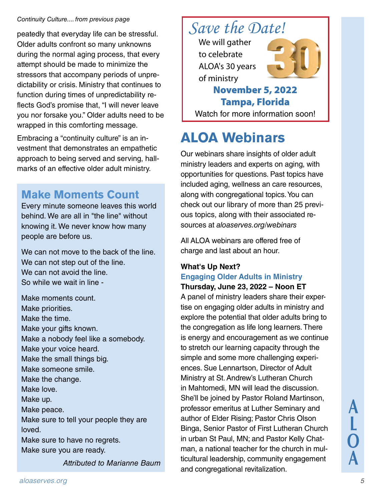#### *Continuity Culture.... from previous page*

peatedly that everyday life can be stressful. Older adults confront so many unknowns during the normal aging process, that every attempt should be made to minimize the stressors that accompany periods of unpredictability or crisis. Ministry that continues to function during times of unpredictability reflects God's promise that, "I will never leave you nor forsake you." Older adults need to be wrapped in this comforting message.

Embracing a "continuity culture" is an investment that demonstrates an empathetic approach to being served and serving, hallmarks of an effective older adult ministry.

# **Make Moments Count**

Every minute someone leaves this world behind. We are all in "the line" without knowing it. We never know how many people are before us.

We can not move to the back of the line. We can not step out of the line. We can not avoid the line. So while we wait in line -

Make moments count. Make priorities. Make the time. Make your gifts known. Make a nobody feel like a somebody. Make your voice heard. Make the small things big. Make someone smile. Make the change. Make love. Make up. Make peace. Make sure to tell your people they are loved. Make sure to have no regrets. Make sure you are ready.

*Attributed to Marianne Baum*



# **ALOA Webinars**

Our webinars share insights of older adult ministry leaders and experts on aging, with opportunities for questions. Past topics have included aging, wellness an care resources, along with congregational topics. You can check out our library of more than 25 previous topics, along with their associated resources at *[aloaserves.org/webinars](https://aloaserves.org/webinars/#1)*

All ALOA webinars are offered free of charge and last about an hour.

### **What's Up Next? Engaging Older Adults in Ministry Thursday, June 23, 2022 – Noon ET**

A panel of ministry leaders share their expertise on engaging older adults in ministry and explore the potential that older adults bring to the congregation as life long learners. There is energy and encouragement as we continue to stretch our learning capacity through the simple and some more challenging experiences. Sue Lennartson, Director of Adult Ministry at St. Andrew's Lutheran Church in Mahtomedi, MN will lead the discussion. She'll be joined by Pastor Roland Martinson, professor emeritus at Luther Seminary and author of Elder Rising; Pastor Chris Olson Binga, Senior Pastor of First Lutheran Church in urban St Paul, MN; and Pastor Kelly Chatman, a national teacher for the church in multicultural leadership, community engagement and congregational revitalization.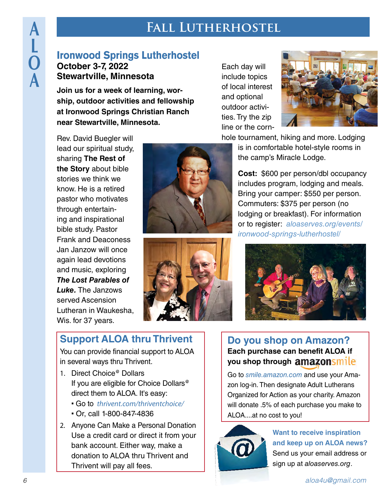# **Fall Lutherhostel**

# **Ironwood Springs Lutherhostel October 3-7, 2022 Stewartville, Minnesota**

**Join us for a week of learning, worship, outdoor activities and fellowship at Ironwood Springs Christian Ranch near Stewartville, Minnesota.** 

Each day will include topics of local interest and optional outdoor activities. Try the zip line or the corn-



Rev. David Buegler will lead our spiritual study, sharing **The Rest of the Story** about bible stories we think we know. He is a retired pastor who motivates through entertaining and inspirational bible study. Pastor Frank and Deaconess Jan Janzow will once again lead devotions and music, exploring *The Lost Parables of Luke.* The Janzows served Ascension Lutheran in Waukesha, Wis. for 37 years.





hole tournament, hiking and more. Lodging is in comfortable hotel-style rooms in the camp's Miracle Lodge.

> **Cost:** \$600 per person/dbl occupancy includes program, lodging and meals. Bring your camper: \$550 per person. Commuters: \$375 per person (no lodging or breakfast). For information or to register: *[aloaserves.org/events/](https://aloaserves.org/events/ironwood-springs-lutherhostel/) [ironwood-springs-lutherhostel/](https://aloaserves.org/events/ironwood-springs-lutherhostel/)*



# **Support ALOA thru Thrivent**

You can provide financial support to ALOA in several ways thru Thrivent.

- 1. Direct Choice<sup>@</sup> Dollars If you are eligible for Choice Dollars<sup>®</sup> direct them to ALOA. It's easy:
	- Go to *[thrivent.com/thriventchoice/](http://www.thrivent.com/thriventchoice/)*
	- Or, call 1-800-847-4836
- 2. Anyone Can Make a Personal Donation Use a credit card or direct it from your bank account. Either way, make a donation to ALOA thru Thrivent and Thrivent will pay all fees.

## **Do you shop on Amazon? Each purchase can benefit ALOA if you shop through**

Go to *[smile.amazon.com](https://smile.amazon.com/ch/36-3792551)* and use your Amazon log-in. Then designate Adult Lutherans Organized for Action as your charity. Amazon will donate .5% of each purchase you make to ALOA....at no cost to you!



**Want to receive inspiration and keep up on ALOA news?**  Send us your email address or sign up at *[aloaserves.org](mailto:https://aloaserves.org/contact/?subject=)*.

**A**

**L**

**O**

**A**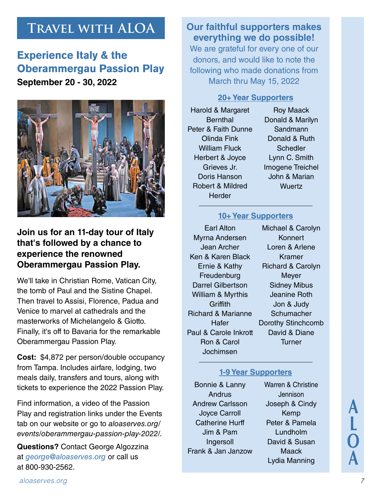# **Travel with ALOA**

# **Experience Italy & the Oberammergau Passion Play September 20 - 30, 2022**



## **Join us for an 11-day tour of Italy that's followed by a chance to experience the renowned Oberammergau Passion Play.**

We'll take in Christian Rome, Vatican City, the tomb of Paul and the Sistine Chapel. Then travel to Assisi, Florence, Padua and Venice to marvel at cathedrals and the masterworks of Michelangelo & Giotto. Finally, it's off to Bavaria for the remarkable Oberammergau Passion Play.

**Cost:** \$4,872 per person/double occupancy from Tampa. Includes airfare, lodging, two meals daily, transfers and tours, along with tickets to experience the 2022 Passion Play.

Find information, a video of the Passion Play and registration links under the Events tab on our website or go to *[aloaserves.org/](https://aloaserves.org/events/oberammergau-passion-play-2022/) [events/oberammergau-passion-play-2022/.](https://aloaserves.org/events/oberammergau-passion-play-2022/)*

**Questions?** Contact George Algozzina at *[george@aloaserves.org](mailto:george%40aloaserves.org?subject=)* or call us at 800-930-2562.

## **Our faithful supporters makes everything we do possible!**

We are grateful for every one of our donors, and would like to note the following who made donations from March thru May 15, 2022

#### **20+ Year Supporters**

Harold & Margaret **Bernthal** Peter & Faith Dunne Olinda Fink William Fluck Herbert & Joyce Grieves Jr. Doris Hanson Robert & Mildred **Herder** 

Roy Maack Donald & Marilyn **Sandmann** Donald & Ruth **Schedler** Lynn C. Smith Imogene Treichel John & Marian **Wuertz** 

### **10+ Year Supporters**

Earl Alton Myrna Andersen Jean Archer Ken & Karen Black Ernie & Kathy **Freudenburg** Darrel Gilbertson William & Myrthis **Griffith** Richard & Marianne Hafer Paul & Carole Inkrott Ron & Carol Jochimsen

Michael & Carolyn Konnert Loren & Arlene Kramer Richard & Carolyn Meyer Sidney Mibus Jeanine Roth Jon & Judy **Schumacher** Dorothy Stinchcomb David & Diane **Turner** 

### **1-9 Year Supporters**

Bonnie & Lanny Andrus Andrew Carlsson Joyce Carroll Catherine Hurff Jim & Pam Ingersoll Frank & Jan Janzow Warren & Christine Jennison Joseph & Cindy Kemp Peter & Pamela Lundholm David & Susan **Maack** Lydia Manning

**A L O A**